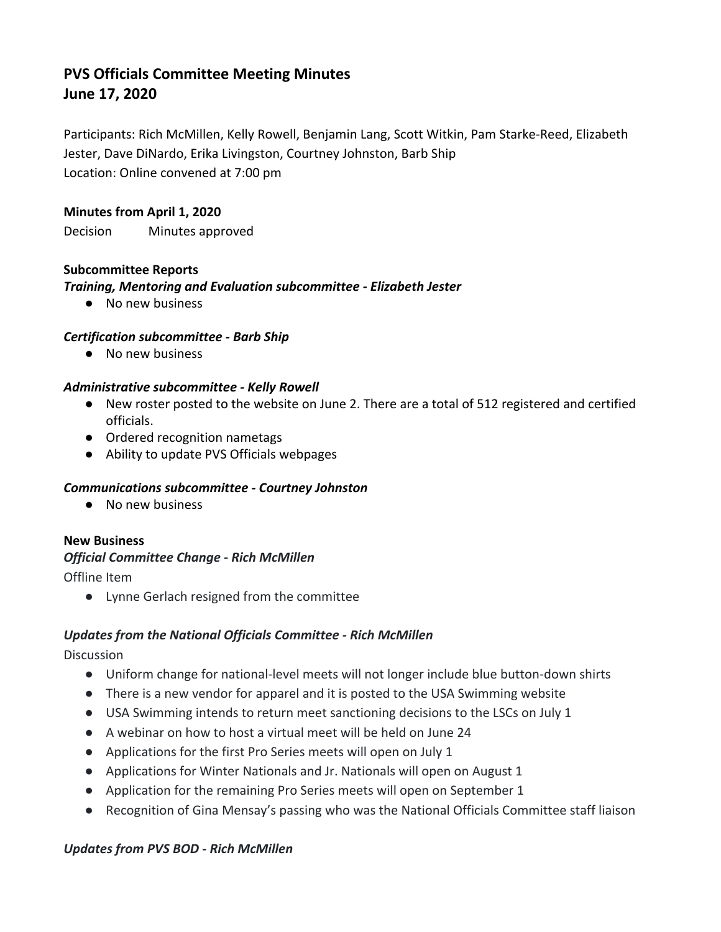# **PVS Officials Committee Meeting Minutes June 17, 2020**

Participants: Rich McMillen, Kelly Rowell, Benjamin Lang, Scott Witkin, Pam Starke-Reed, Elizabeth Jester, Dave DiNardo, Erika Livingston, Courtney Johnston, Barb Ship Location: Online convened at 7:00 pm

#### **Minutes from April 1, 2020**

Decision Minutes approved

#### **Subcommittee Reports**

### *Training, Mentoring and Evaluation subcommittee - Elizabeth Jester*

● No new business

### *Certification subcommittee - Barb Ship*

● No new business

#### *Administrative subcommittee - Kelly Rowell*

- New roster posted to the website on June 2. There are a total of 512 registered and certified officials.
- Ordered recognition nametags
- Ability to update PVS Officials webpages

### *Communications subcommittee - Courtney Johnston*

● No new business

### **New Business**

### *Official Committee Change - Rich McMillen*

Offline Item

● Lynne Gerlach resigned from the committee

### *Updates from the National Officials Committee - Rich McMillen*

**Discussion** 

- Uniform change for national-level meets will not longer include blue button-down shirts
- There is a new vendor for apparel and it is posted to the USA Swimming website
- USA Swimming intends to return meet sanctioning decisions to the LSCs on July 1
- A webinar on how to host a virtual meet will be held on June 24
- Applications for the first Pro Series meets will open on July 1
- Applications for Winter Nationals and Jr. Nationals will open on August 1
- Application for the remaining Pro Series meets will open on September 1
- Recognition of Gina Mensay's passing who was the National Officials Committee staff liaison

### *Updates from PVS BOD - Rich McMillen*